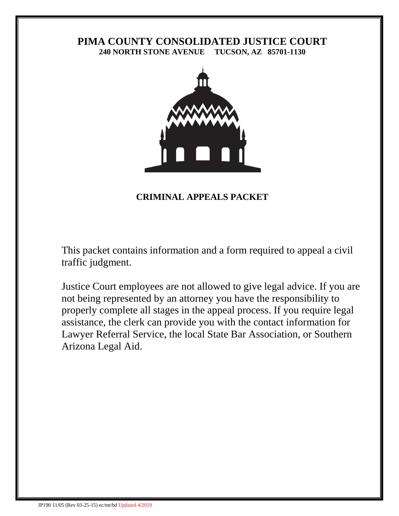# **PIMA COUNTY CONSOLIDATED JUSTICE COURT 240 NORTH STONE AVENUE TUCSON, AZ 85701-1130**



# **CRIMINAL APPEALS PACKET**

This packet contains information and a form required to appeal a civil traffic judgment.

Justice Court employees are not allowed to give legal advice. If you are not being represented by an attorney you have the responsibility to properly complete all stages in the appeal process. If you require legal assistance, the clerk can provide you with the contact information for Lawyer Referral Service, the local State Bar Association, or Southern Arizona Legal Aid.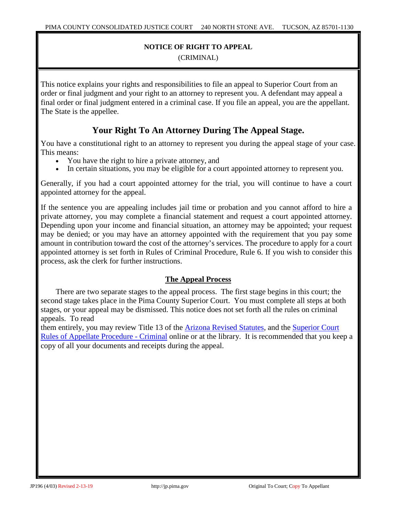## **NOTICE OF RIGHT TO APPEAL**

(CRIMINAL)

This notice explains your rights and responsibilities to file an appeal to Superior Court from an order or final judgment and your right to an attorney to represent you. A defendant may appeal a final order or final judgment entered in a criminal case. If you file an appeal, you are the appellant. The State is the appellee.

# **Your Right To An Attorney During The Appeal Stage.**

You have a constitutional right to an attorney to represent you during the appeal stage of your case. This means:

- You have the right to hire a private attorney, and
- In certain situations, you may be eligible for a court appointed attorney to represent you.

Generally, if you had a court appointed attorney for the trial, you will continue to have a court appointed attorney for the appeal.

If the sentence you are appealing includes jail time or probation and you cannot afford to hire a private attorney, you may complete a financial statement and request a court appointed attorney. Depending upon your income and financial situation, an attorney may be appointed; your request may be denied; or you may have an attorney appointed with the requirement that you pay some amount in contribution toward the cost of the attorney's services. The procedure to apply for a court appointed attorney is set forth in Rules of Criminal Procedure, Rule 6. If you wish to consider this process, ask the clerk for further instructions.

# **The Appeal Process**

There are two separate stages to the appeal process. The first stage begins in this court; the second stage takes place in the Pima County Superior Court. You must complete all steps at both stages, or your appeal may be dismissed. This notice does not set forth all the rules on criminal appeals. To read

them entirely, you may review Title 13 of the [Arizona Revised Statutes,](http://www.azleg.gov/arstitle/) and the [Superior Court](https://govt.westlaw.com/azrules/Browse/Home/Arizona/ArizonaCourtRules/ArizonaStatutesCourtRules?guid=NB12418F0715611DAA16E8D4AC7636430&transitionType=CategoryPageItem&contextData=(sc.Default))  [Rules of Appellate Procedure -](https://govt.westlaw.com/azrules/Browse/Home/Arizona/ArizonaCourtRules/ArizonaStatutesCourtRules?guid=NB12418F0715611DAA16E8D4AC7636430&transitionType=CategoryPageItem&contextData=(sc.Default)) Criminal online or at the library. It is recommended that you keep a copy of all your documents and receipts during the appeal.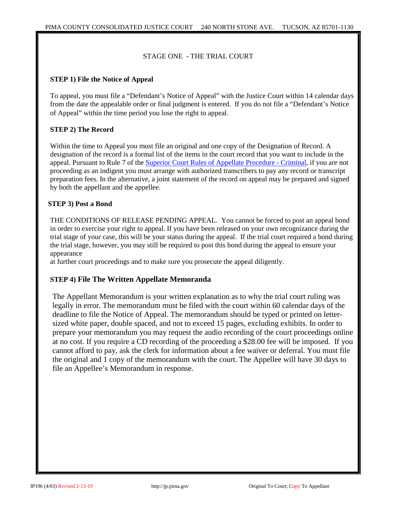#### STAGE ONE - THE TRIAL COURT

#### **STEP 1) File the Notice of Appeal**

To appeal, you must file a "Defendant's Notice of Appeal" with the Justice Court within 14 calendar days from the date the appealable order or final judgment is entered. If you do not file a "Defendant's Notice of Appeal" within the time period you lose the right to appeal.

#### **STEP 2) The Record**

Within the time to Appeal you must file an original and one copy of the Designation of Record. A designation of the record is a formal list of the items in the court record that you want to include in the appeal. Pursuant to Rule 7 of the [Superior Court Rules of Appellate Procedure -](https://govt.westlaw.com/azrules/Browse/Home/Arizona/ArizonaCourtRules/ArizonaStatutesCourtRules?guid=NB12418F0715611DAA16E8D4AC7636430&transitionType=CategoryPageItem&contextData=(sc.Default)) Criminal, if you are not proceeding as an indigent you must arrange with authorized transcribers to pay any record or transcript preparation fees. In the alternative, a joint statement of the record on appeal may be prepared and signed by both the appellant and the appellee.

#### **STEP 3) Post a Bond**

THE CONDITIONS OF RELEASE PENDING APPEAL. You cannot be forced to post an appeal bond in order to exercise your right to appeal. If you have been released on your own recognizance during the trial stage of your case, this will be your status during the appeal. If the trial court required a bond during the trial stage, however, you may still be required to post this bond during the appeal to ensure your appearance

at further court proceedings and to make sure you prosecute the appeal diligently.

#### **STEP 4) File The Written Appellate Memoranda**

The Appellant Memorandum is your written explanation as to why the trial court ruling was legally in error. The memorandum must be filed with the court within 60 calendar days of the deadline to file the Notice of Appeal. The memorandum should be typed or printed on lettersized white paper, double spaced, and not to exceed 15 pages, excluding exhibits. In order to prepare your memorandum you may request the audio recording of the court proceedings online at no cost. If you require a CD recording of the proceeding a \$28.00 fee will be imposed. If you cannot afford to pay, ask the clerk for information about a fee waiver or deferral. You must file the original and 1 copy of the memorandum with the court. The Appellee will have 30 days to file an Appellee's Memorandum in response.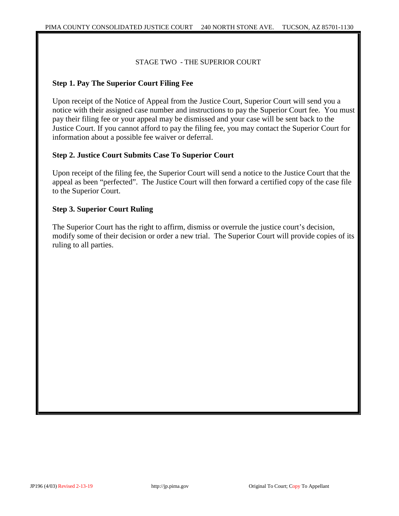STAGE TWO - THE SUPERIOR COURT

# **Step 1. Pay The Superior Court Filing Fee**

Upon receipt of the Notice of Appeal from the Justice Court, Superior Court will send you a notice with their assigned case number and instructions to pay the Superior Court fee. You must pay their filing fee or your appeal may be dismissed and your case will be sent back to the Justice Court. If you cannot afford to pay the filing fee, you may contact the Superior Court for information about a possible fee waiver or deferral.

## **Step 2. Justice Court Submits Case To Superior Court**

Upon receipt of the filing fee, the Superior Court will send a notice to the Justice Court that the appeal as been "perfected". The Justice Court will then forward a certified copy of the case file to the Superior Court.

## **Step 3. Superior Court Ruling**

The Superior Court has the right to affirm, dismiss or overrule the justice court's decision, modify some of their decision or order a new trial. The Superior Court will provide copies of its ruling to all parties.